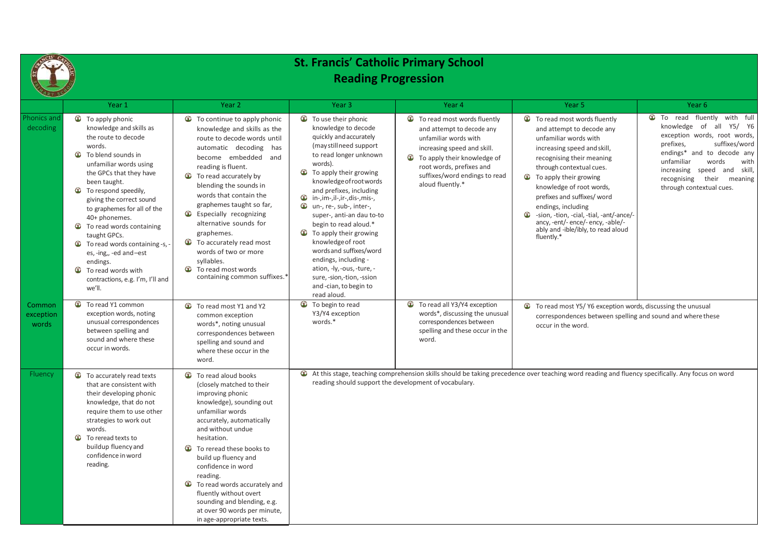

## **St. Francis**' **Catholic Primary School Reading Progression**

| <b>AND AND REAL PROPERTY</b>        |                                                                                                                                                                                                                                                                                                                                                                                                                                                                                                |                                                                                                                                                                                                                                                                                                                                                                                                                                                                                             |                                                                                                                                                                                                                                                                                                                                                                                                                                                                                                                                                                                                  |                                                                                                                                                                                                                                                |                                                                                                                                                                                                                                                                                                                                                                                                                                          |                                                                                                                                                                                                                                                                                                         |
|-------------------------------------|------------------------------------------------------------------------------------------------------------------------------------------------------------------------------------------------------------------------------------------------------------------------------------------------------------------------------------------------------------------------------------------------------------------------------------------------------------------------------------------------|---------------------------------------------------------------------------------------------------------------------------------------------------------------------------------------------------------------------------------------------------------------------------------------------------------------------------------------------------------------------------------------------------------------------------------------------------------------------------------------------|--------------------------------------------------------------------------------------------------------------------------------------------------------------------------------------------------------------------------------------------------------------------------------------------------------------------------------------------------------------------------------------------------------------------------------------------------------------------------------------------------------------------------------------------------------------------------------------------------|------------------------------------------------------------------------------------------------------------------------------------------------------------------------------------------------------------------------------------------------|------------------------------------------------------------------------------------------------------------------------------------------------------------------------------------------------------------------------------------------------------------------------------------------------------------------------------------------------------------------------------------------------------------------------------------------|---------------------------------------------------------------------------------------------------------------------------------------------------------------------------------------------------------------------------------------------------------------------------------------------------------|
|                                     | Year 1                                                                                                                                                                                                                                                                                                                                                                                                                                                                                         | Year 2                                                                                                                                                                                                                                                                                                                                                                                                                                                                                      | Year <sub>3</sub>                                                                                                                                                                                                                                                                                                                                                                                                                                                                                                                                                                                | Year 4                                                                                                                                                                                                                                         | Year <sub>5</sub>                                                                                                                                                                                                                                                                                                                                                                                                                        | Year 6                                                                                                                                                                                                                                                                                                  |
| Phonics and<br>decoding             | œ<br>To apply phonic<br>knowledge and skills as<br>the route to decode<br>words.<br>œ<br>To blend sounds in<br>unfamiliar words using<br>the GPCs that they have<br>been taught.<br>œ<br>To respond speedily,<br>giving the correct sound<br>to graphemes for all of the<br>40+ phonemes.<br>œ<br>To read words containing<br>taught GPCs.<br>œ<br>To read words containing -s,<br>es, -ing,, -ed and-est<br>endings.<br>œ<br>To read words with<br>contractions, e.g. I'm, I'll and<br>we'll. | Œ<br>To continue to apply phonic<br>knowledge and skills as the<br>route to decode words until<br>automatic decoding has<br>become embedded and<br>reading is fluent.<br>Œ<br>To read accurately by<br>blending the sounds in<br>words that contain the<br>graphemes taught so far,<br>œ<br>Especially recognizing<br>alternative sounds for<br>graphemes.<br>Œ<br>To accurately read most<br>words of two or more<br>syllables.<br>œ<br>To read most words<br>containing common suffixes.* | <b><i>C</i></b> To use their phonic<br>knowledge to decode<br>quickly and accurately<br>(may still need support<br>to read longer unknown<br>words).<br>œ<br>To apply their growing<br>knowledge of root words<br>and prefixes, including<br>$\mathbf{\hat{w}}$ in-, im-, il-, ir-, dis-, mis-,<br>œ<br>un-, re-, sub-, inter-,<br>super-, anti-an dau to-to<br>begin to read aloud.*<br>To apply their growing<br>œ<br>knowledge of root<br>words and suffixes/word<br>endings, including -<br>ation, -ly, -ous, -ture, -<br>sure, -sion,-tion, -ssion<br>and -cian, to begin to<br>read aloud. | <b>T</b> To read most words fluently<br>and attempt to decode any<br>unfamiliar words with<br>increasing speed and skill.<br>œ<br>To apply their knowledge of<br>root words, prefixes and<br>suffixes/word endings to read<br>aloud fluently.* | To read most words fluently<br>œ<br>and attempt to decode any<br>unfamiliar words with<br>increasing speed and skill,<br>recognising their meaning<br>through contextual cues.<br>œ<br>To apply their growing<br>knowledge of root words,<br>prefixes and suffixes/ word<br>endings, including<br>œ<br>-sion, -tion, -cial, -tial, -ant/-ance/-<br>ancy, -ent/- ence/- ency, -able/-<br>ably and -ible/ibly, to read aloud<br>fluently.* | <b>To</b> read fluently<br>with full<br>knowledge<br>Y5/ Y6<br>of<br>all<br>exception words, root words,<br>prefixes,<br>suffixes/word<br>endings* and to decode any<br>unfamiliar<br>words<br>with<br>and skill,<br>speed<br>increasing<br>their<br>recognising<br>meaning<br>through contextual cues. |
| <b>Common</b><br>exception<br>words | œ<br>To read Y1 common<br>exception words, noting<br>unusual correspondences<br>between spelling and<br>sound and where these<br>occur in words.                                                                                                                                                                                                                                                                                                                                               | œ<br>To read most Y1 and Y2<br>common exception<br>words*, noting unusual<br>correspondences between<br>spelling and sound and<br>where these occur in the<br>word.                                                                                                                                                                                                                                                                                                                         | œ<br>To begin to read<br>Y3/Y4 exception<br>words.*                                                                                                                                                                                                                                                                                                                                                                                                                                                                                                                                              | To read all Y3/Y4 exception<br>Œ<br>words*, discussing the unusual<br>correspondences between<br>spelling and these occur in the<br>word.                                                                                                      | To read most Y5/ Y6 exception words, discussing the unusual<br>correspondences between spelling and sound and where these<br>occur in the word.                                                                                                                                                                                                                                                                                          |                                                                                                                                                                                                                                                                                                         |
| Fluency                             | Œ<br>To accurately read texts<br>that are consistent with<br>their developing phonic<br>knowledge, that do not<br>require them to use other<br>strategies to work out<br>words.<br>œ<br>To reread texts to<br>buildup fluency and<br>confidence in word<br>reading.                                                                                                                                                                                                                            | To read aloud books<br>Œ<br>(closely matched to their<br>improving phonic<br>knowledge), sounding out<br>unfamiliar words<br>accurately, automatically<br>and without undue<br>hesitation.<br>To reread these books to<br>Œ<br>build up fluency and<br>confidence in word<br>reading.<br>Œ<br>To read words accurately and<br>fluently without overt<br>sounding and blending, e.g.<br>at over 90 words per minute,<br>in age-appropriate texts.                                            | reading should support the development of vocabulary.                                                                                                                                                                                                                                                                                                                                                                                                                                                                                                                                            |                                                                                                                                                                                                                                                | At this stage, teaching comprehension skills should be taking precedence over teaching word reading and fluency specifically. Any focus on word                                                                                                                                                                                                                                                                                          |                                                                                                                                                                                                                                                                                                         |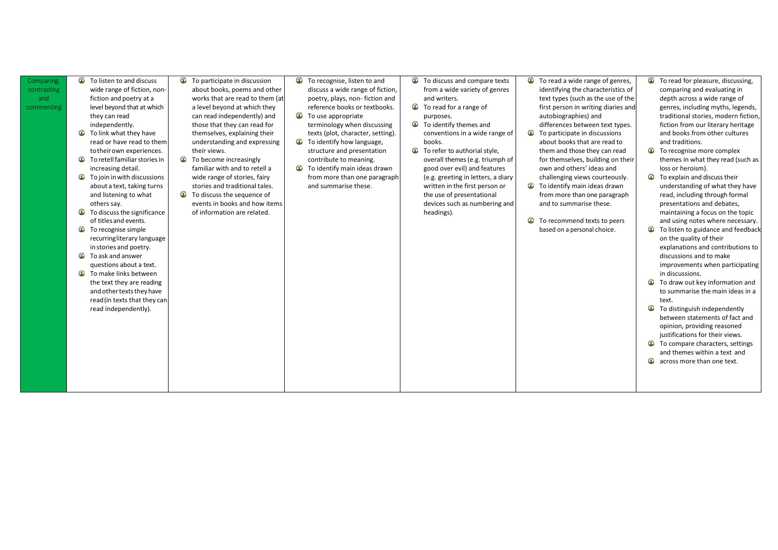| Comparing,<br>contrasting<br>and<br>commenting | œ<br>To listen to and discuss<br>wide range of fiction, non-<br>fiction and poetry at a<br>level beyond that at which<br>they can read<br>independently.<br>To link what they have<br>read or have read to them<br>to their own experiences.<br>œ<br>To retell familiar stories in<br>increasing detail.<br>œ<br>To join in with discussions<br>about a text, taking turns<br>and listening to what<br>others say.<br>To discuss the significance<br>œ<br>of titles and events.<br>œ<br>To recognise simple<br>recurringliterary language<br>in stories and poetry.<br>œ<br>To ask and answer<br>questions about a text.<br>œ<br>To make links between<br>the text they are reading<br>and other texts they have<br>read (in texts that they can<br>read independently). | To participate in discussion<br>œ<br>about books, poems and other<br>works that are read to them (at<br>a level beyond at which they<br>can read independently) and<br>those that they can read for<br>themselves, explaining their<br>understanding and expressing<br>their views.<br>œ<br>To become increasingly<br>familiar with and to retell a<br>wide range of stories, fairy<br>stories and traditional tales.<br>œ<br>To discuss the sequence of<br>events in books and how items<br>of information are related. | To recognise, listen to and<br>œ<br>discuss a wide range of fiction,<br>poetry, plays, non-fiction and<br>reference books or textbooks.<br>œ<br>To use appropriate<br>terminology when discussing<br>texts (plot, character, setting).<br>To identify how language,<br>œ<br>structure and presentation<br>contribute to meaning.<br>œ<br>To identify main ideas drawn<br>from more than one paragraph<br>and summarise these. | œ<br>To discuss and compare texts<br>from a wide variety of genres<br>and writers.<br>Œ<br>To read for a range of<br>purposes.<br>œ<br>To identify themes and<br>conventions in a wide range of<br>books.<br>To refer to authorial style,<br>œ<br>overall themes (e.g. triumph of<br>good over evil) and features<br>(e.g. greeting in letters, a diary<br>written in the first person or<br>the use of presentational<br>devices such as numbering and<br>headings). | To read a wide range of genres,<br>Œ<br>identifying the characteristics of<br>text types (such as the use of the<br>first person in writing diaries and<br>autobiographies) and<br>differences between text types.<br>To participate in discussions<br>œ<br>about books that are read to<br>them and those they can read<br>for themselves, building on their<br>own and others' ideas and<br>challenging views courteously.<br>To identify main ideas drawn<br>from more than one paragraph<br>and to summarise these.<br>To recommend texts to peers<br>based on a personal choice. |
|------------------------------------------------|--------------------------------------------------------------------------------------------------------------------------------------------------------------------------------------------------------------------------------------------------------------------------------------------------------------------------------------------------------------------------------------------------------------------------------------------------------------------------------------------------------------------------------------------------------------------------------------------------------------------------------------------------------------------------------------------------------------------------------------------------------------------------|--------------------------------------------------------------------------------------------------------------------------------------------------------------------------------------------------------------------------------------------------------------------------------------------------------------------------------------------------------------------------------------------------------------------------------------------------------------------------------------------------------------------------|-------------------------------------------------------------------------------------------------------------------------------------------------------------------------------------------------------------------------------------------------------------------------------------------------------------------------------------------------------------------------------------------------------------------------------|-----------------------------------------------------------------------------------------------------------------------------------------------------------------------------------------------------------------------------------------------------------------------------------------------------------------------------------------------------------------------------------------------------------------------------------------------------------------------|---------------------------------------------------------------------------------------------------------------------------------------------------------------------------------------------------------------------------------------------------------------------------------------------------------------------------------------------------------------------------------------------------------------------------------------------------------------------------------------------------------------------------------------------------------------------------------------|
|------------------------------------------------|--------------------------------------------------------------------------------------------------------------------------------------------------------------------------------------------------------------------------------------------------------------------------------------------------------------------------------------------------------------------------------------------------------------------------------------------------------------------------------------------------------------------------------------------------------------------------------------------------------------------------------------------------------------------------------------------------------------------------------------------------------------------------|--------------------------------------------------------------------------------------------------------------------------------------------------------------------------------------------------------------------------------------------------------------------------------------------------------------------------------------------------------------------------------------------------------------------------------------------------------------------------------------------------------------------------|-------------------------------------------------------------------------------------------------------------------------------------------------------------------------------------------------------------------------------------------------------------------------------------------------------------------------------------------------------------------------------------------------------------------------------|-----------------------------------------------------------------------------------------------------------------------------------------------------------------------------------------------------------------------------------------------------------------------------------------------------------------------------------------------------------------------------------------------------------------------------------------------------------------------|---------------------------------------------------------------------------------------------------------------------------------------------------------------------------------------------------------------------------------------------------------------------------------------------------------------------------------------------------------------------------------------------------------------------------------------------------------------------------------------------------------------------------------------------------------------------------------------|

| ange of genres,<br>naracteristics of<br>as the use of the<br>riting diaries and<br>) and<br>een text types.<br>discussions<br>t are read to<br>they can read<br>puilding on their<br>ideas and<br>s courteously.<br>ideas drawn<br>one paragraph<br>e these.<br>exts to peers<br>al choice. | œ<br>¢<br>⊕<br>¢<br>¢<br>œ | To read for pleasure, discussing,<br>comparing and evaluating in<br>depth across a wide range of<br>genres, including myths, legends,<br>traditional stories, modern fiction,<br>fiction from our literary heritage<br>and books from other cultures<br>and traditions.<br>To recognise more complex<br>themes in what they read (such as<br>loss or heroism).<br>To explain and discuss their<br>understanding of what they have<br>read, including through formal<br>presentations and debates,<br>maintaining a focus on the topic<br>and using notes where necessary.<br>To listen to guidance and feedback<br>on the quality of their<br>explanations and contributions to<br>discussions and to make<br>improvements when participating<br>in discussions.<br>To draw out key information and<br>to summarise the main ideas in a<br>text.<br>To distinguish independently<br>between statements of fact and<br>opinion, providing reasoned<br>justifications for their views. |
|---------------------------------------------------------------------------------------------------------------------------------------------------------------------------------------------------------------------------------------------------------------------------------------------|----------------------------|--------------------------------------------------------------------------------------------------------------------------------------------------------------------------------------------------------------------------------------------------------------------------------------------------------------------------------------------------------------------------------------------------------------------------------------------------------------------------------------------------------------------------------------------------------------------------------------------------------------------------------------------------------------------------------------------------------------------------------------------------------------------------------------------------------------------------------------------------------------------------------------------------------------------------------------------------------------------------------------|
|                                                                                                                                                                                                                                                                                             |                            |                                                                                                                                                                                                                                                                                                                                                                                                                                                                                                                                                                                                                                                                                                                                                                                                                                                                                                                                                                                      |
|                                                                                                                                                                                                                                                                                             | ¢<br>œ                     | To compare characters, settings<br>and themes within a text and<br>across more than one text.                                                                                                                                                                                                                                                                                                                                                                                                                                                                                                                                                                                                                                                                                                                                                                                                                                                                                        |
|                                                                                                                                                                                                                                                                                             |                            |                                                                                                                                                                                                                                                                                                                                                                                                                                                                                                                                                                                                                                                                                                                                                                                                                                                                                                                                                                                      |